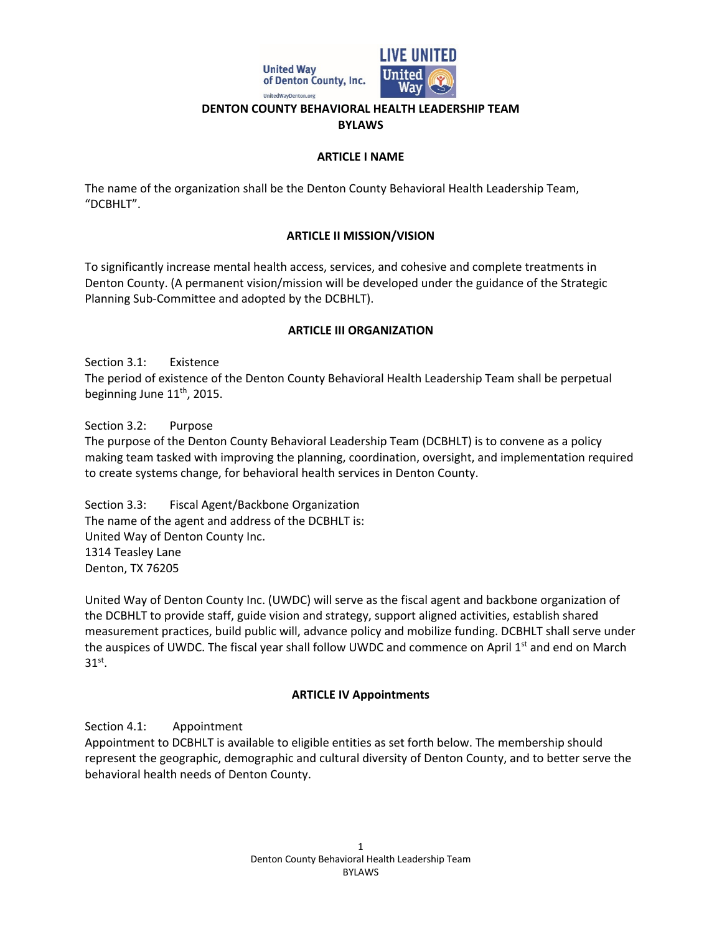

#### **DENTON COUNTY BEHAVIORAL HEALTH LEADERSHIP TEAM BYLAWS**

#### **ARTICLE I NAME**

The name of the organization shall be the Denton County Behavioral Health Leadership Team, "DCBHLT".

### **ARTICLE II MISSION/VISION**

To significantly increase mental health access, services, and cohesive and complete treatments in Denton County. (A permanent vision/mission will be developed under the guidance of the Strategic Planning Sub-Committee and adopted by the DCBHLT).

### **ARTICLE III ORGANIZATION**

Section 3.1: Existence The period of existence of the Denton County Behavioral Health Leadership Team shall be perpetual beginning June 11<sup>th</sup>, 2015.

Section 3.2: Purpose The purpose of the Denton County Behavioral Leadership Team (DCBHLT) is to convene as a policy making team tasked with improving the planning, coordination, oversight, and implementation required to create systems change, for behavioral health services in Denton County.

Section 3.3: Fiscal Agent/Backbone Organization The name of the agent and address of the DCBHLT is: United Way of Denton County Inc. 1314 Teasley Lane Denton, TX 76205

United Way of Denton County Inc. (UWDC) will serve as the fiscal agent and backbone organization of the DCBHLT to provide staff, guide vision and strategy, support aligned activities, establish shared measurement practices, build public will, advance policy and mobilize funding. DCBHLT shall serve under the auspices of UWDC. The fiscal year shall follow UWDC and commence on April 1<sup>st</sup> and end on March  $31<sup>st</sup>$ .

# **ARTICLE IV Appointments**

Section 4.1: Appointment

Appointment to DCBHLT is available to eligible entities as set forth below. The membership should represent the geographic, demographic and cultural diversity of Denton County, and to better serve the behavioral health needs of Denton County.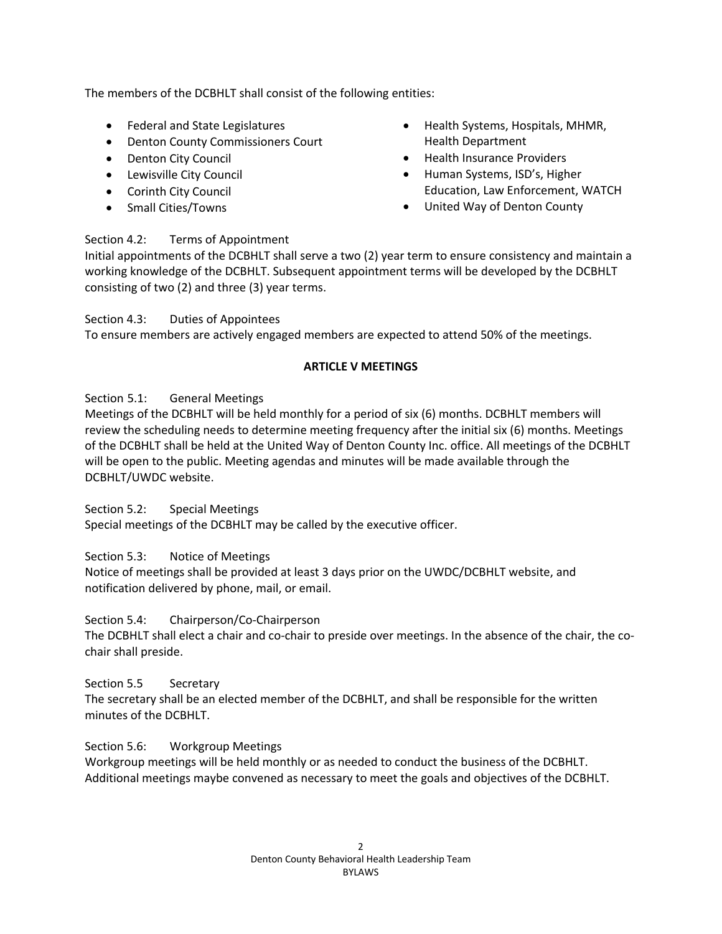The members of the DCBHLT shall consist of the following entities:

- Federal and State Legislatures
- Denton County Commissioners Court
- Denton City Council
- Lewisville City Council
- Corinth City Council
- Small Cities/Towns
- Health Systems, Hospitals, MHMR, Health Department
- Health Insurance Providers
- Human Systems, ISD's, Higher Education, Law Enforcement, WATCH
- United Way of Denton County

## Section 4.2: Terms of Appointment

Initial appointments of the DCBHLT shall serve a two (2) year term to ensure consistency and maintain a working knowledge of the DCBHLT. Subsequent appointment terms will be developed by the DCBHLT consisting of two (2) and three (3) year terms.

Section 4.3: Duties of Appointees To ensure members are actively engaged members are expected to attend 50% of the meetings.

# **ARTICLE V MEETINGS**

## Section 5.1: General Meetings

Meetings of the DCBHLT will be held monthly for a period of six (6) months. DCBHLT members will review the scheduling needs to determine meeting frequency after the initial six (6) months. Meetings of the DCBHLT shall be held at the United Way of Denton County Inc. office. All meetings of the DCBHLT will be open to the public. Meeting agendas and minutes will be made available through the DCBHLT/UWDC website.

Section 5.2: Special Meetings

Special meetings of the DCBHLT may be called by the executive officer.

Section 5.3: Notice of Meetings

Notice of meetings shall be provided at least 3 days prior on the UWDC/DCBHLT website, and notification delivered by phone, mail, or email.

Section 5.4: Chairperson/Co-Chairperson

The DCBHLT shall elect a chair and co-chair to preside over meetings. In the absence of the chair, the cochair shall preside.

Section 5.5 Secretary

The secretary shall be an elected member of the DCBHLT, and shall be responsible for the written minutes of the DCBHLT.

Section 5.6: Workgroup Meetings

Workgroup meetings will be held monthly or as needed to conduct the business of the DCBHLT. Additional meetings maybe convened as necessary to meet the goals and objectives of the DCBHLT.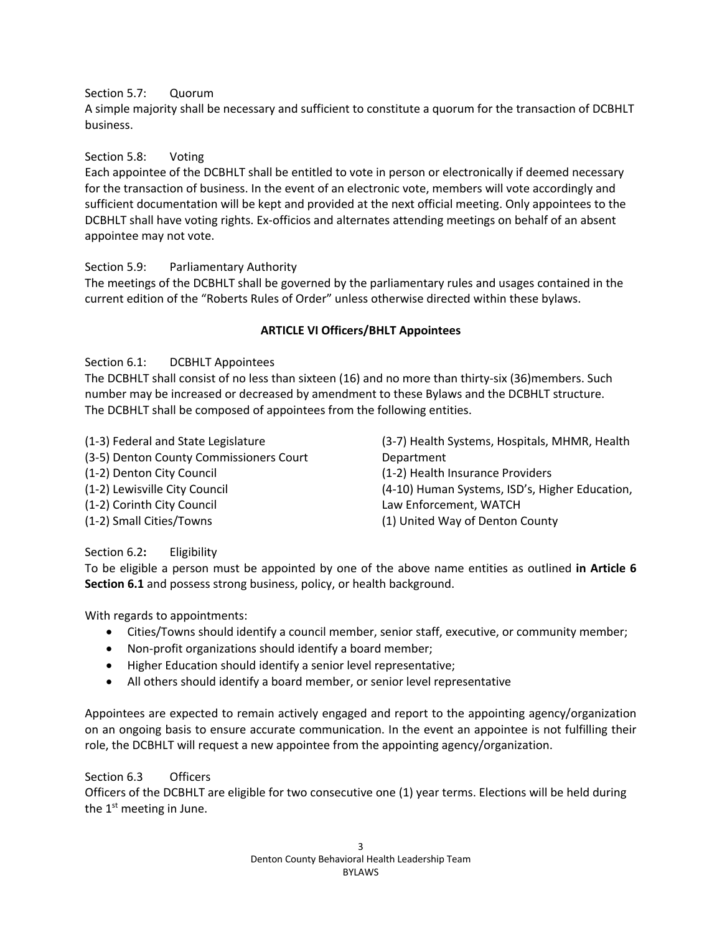## Section 5.7: Quorum

A simple majority shall be necessary and sufficient to constitute a quorum for the transaction of DCBHLT business.

## Section 5.8: Voting

Each appointee of the DCBHLT shall be entitled to vote in person or electronically if deemed necessary for the transaction of business. In the event of an electronic vote, members will vote accordingly and sufficient documentation will be kept and provided at the next official meeting. Only appointees to the DCBHLT shall have voting rights. Ex-officios and alternates attending meetings on behalf of an absent appointee may not vote.

## Section 5.9: Parliamentary Authority

The meetings of the DCBHLT shall be governed by the parliamentary rules and usages contained in the current edition of the "Roberts Rules of Order" unless otherwise directed within these bylaws.

## **ARTICLE VI Officers/BHLT Appointees**

Section 6.1: DCBHLT Appointees

The DCBHLT shall consist of no less than sixteen (16) and no more than thirty-six (36)members. Such number may be increased or decreased by amendment to these Bylaws and the DCBHLT structure. The DCBHLT shall be composed of appointees from the following entities.

(1-3) Federal and State Legislature (3-5) Denton County Commissioners Court (1-2) Denton City Council (1-2) Lewisville City Council (1-2) Corinth City Council (1-2) Small Cities/Towns

(3-7) Health Systems, Hospitals, MHMR, Health Department (1-2) Health Insurance Providers (4-10) Human Systems, ISD's, Higher Education, Law Enforcement, WATCH (1) United Way of Denton County

# Section 6.2**:** Eligibility

To be eligible a person must be appointed by one of the above name entities as outlined **in Article 6 Section 6.1** and possess strong business, policy, or health background.

With regards to appointments:

- Cities/Towns should identify a council member, senior staff, executive, or community member;
- Non-profit organizations should identify a board member;
- Higher Education should identify a senior level representative;
- All others should identify a board member, or senior level representative

Appointees are expected to remain actively engaged and report to the appointing agency/organization on an ongoing basis to ensure accurate communication. In the event an appointee is not fulfilling their role, the DCBHLT will request a new appointee from the appointing agency/organization.

### Section 6.3 Officers

Officers of the DCBHLT are eligible for two consecutive one (1) year terms. Elections will be held during the  $1<sup>st</sup>$  meeting in June.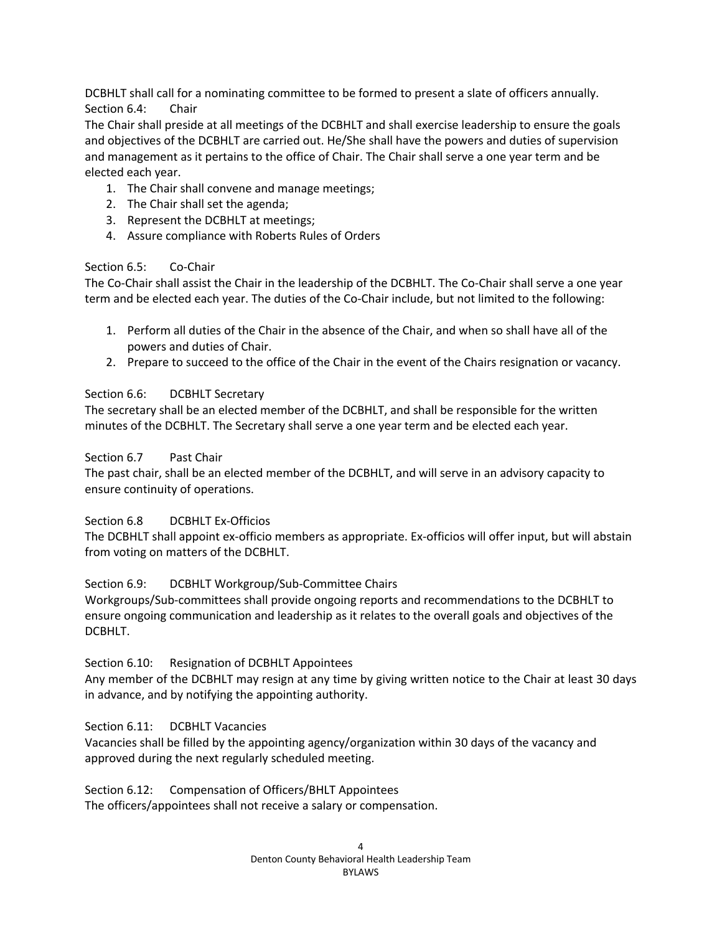DCBHLT shall call for a nominating committee to be formed to present a slate of officers annually. Section 6.4: Chair

The Chair shall preside at all meetings of the DCBHLT and shall exercise leadership to ensure the goals and objectives of the DCBHLT are carried out. He/She shall have the powers and duties of supervision and management as it pertains to the office of Chair. The Chair shall serve a one year term and be elected each year.

- 1. The Chair shall convene and manage meetings;
- 2. The Chair shall set the agenda;
- 3. Represent the DCBHLT at meetings;
- 4. Assure compliance with Roberts Rules of Orders

### Section 6.5: Co-Chair

The Co-Chair shall assist the Chair in the leadership of the DCBHLT. The Co-Chair shall serve a one year term and be elected each year. The duties of the Co-Chair include, but not limited to the following:

- 1. Perform all duties of the Chair in the absence of the Chair, and when so shall have all of the powers and duties of Chair.
- 2. Prepare to succeed to the office of the Chair in the event of the Chairs resignation or vacancy.

### Section 6.6: DCBHLT Secretary

The secretary shall be an elected member of the DCBHLT, and shall be responsible for the written minutes of the DCBHLT. The Secretary shall serve a one year term and be elected each year.

### Section 6.7 Past Chair

The past chair, shall be an elected member of the DCBHLT, and will serve in an advisory capacity to ensure continuity of operations.

### Section 6.8 DCBHLT Ex-Officios

The DCBHLT shall appoint ex-officio members as appropriate. Ex-officios will offer input, but will abstain from voting on matters of the DCBHLT.

### Section 6.9: DCBHLT Workgroup/Sub-Committee Chairs

Workgroups/Sub-committees shall provide ongoing reports and recommendations to the DCBHLT to ensure ongoing communication and leadership as it relates to the overall goals and objectives of the DCBHLT.

### Section 6.10: Resignation of DCBHLT Appointees

Any member of the DCBHLT may resign at any time by giving written notice to the Chair at least 30 days in advance, and by notifying the appointing authority.

Section 6.11: DCBHLT Vacancies

Vacancies shall be filled by the appointing agency/organization within 30 days of the vacancy and approved during the next regularly scheduled meeting.

Section 6.12: Compensation of Officers/BHLT Appointees The officers/appointees shall not receive a salary or compensation.